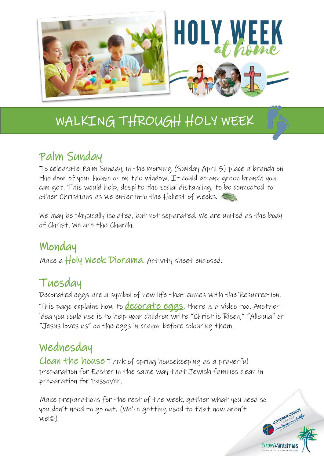

## Palm Sunday

To celebrate Palm Sunday, in the morning (Sunday April 5) place a branch on the door of your house or on the window. It could be any green branch you can get. This would help, despite the social distancing, to be connected to other Christians as we enter into the Holiest of Weeks.

We may be physically isolated, but not separated. We are united as the body of Christ. We are the Church.

### Monday

Make a Holy Week Diorama. Activity sheet enclosed.

## Tuesday

Decorated eggs are a symbol of new life that comes with the Resurrection. This page explains how to **[decorate eggs](https://www.realsimple.com/holidays-entertaining/holidays/more-holidays/dye-easter-eggs)**, there is a video too. Another idea you could use is to help your children write "Christ is Risen," "Alleluia" or "Jesus loves us" on the eggs in crayon before colouring them.

### Wednesday

Clean the house Think of spring housekeeping as a prayerful preparation for Easter in the same way that Jewish families clean in preparation for Passover.

Make preparations for the rest of the week, gather what you need so you don't need to go out. (We're getting used to that now aren't  $we@)$ 

LUTHERAN CHURCH

GrowMinistries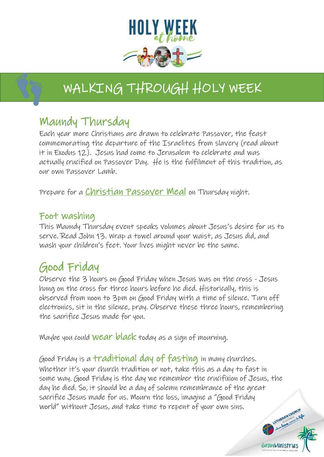

### Maundy Thursday

j

Each year more Christians are drawn to celebrate Passover, the feast commemorating the departure of the Israelites from slavery (read about it in Exodus 12). Jesus had come to Jerusalem to celebrate and was actually crucified on Passover Day. He is the fulfilment of this tradition, as our own Passover Lamb.

Prepare for a **Christian Passover Meal** on Thursday night.

### Foot washing

This Maundy Thursday event speaks volumes about Jesus's desire for us to serve. Read John 13. Wrap a towel around your waist, as Jesus did, and wash your children's feet. Your lives might never be the same.

## Good Friday

Observe the 3 hours on Good Friday when Jesus was on the cross - Jesus hung on the cross for three hours before he died. Historically, this is observed from noon to 3pm on Good Friday with a time of silence. Turn off electronics, sit in the silence, pray. Observe these three hours, remembering the sacrifice Jesus made for you.

Maybe you could **wear black** today as a sign of mourning.

Good Friday is a traditional day of fasting in many churches. Whether it's your church tradition or not, take this as a day to fast in some way. Good Friday is the day we remember the crucifixion of Jesus, the day he died. So, it should be a day of solemn remembrance of the great sacrifice Jesus made for us. Mourn the loss, imagine a "Good Friday world" without Jesus, and take time to repent of your own sins. LUTHERAN CHURCH

GrowMinistria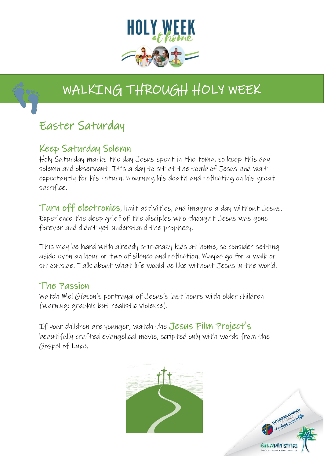

## Easter Saturday

### Keep Saturday Solemn

Holy Saturday marks the day Jesus spent in the tomb, so keep this day solemn and observant. It's a day to sit at the tomb of Jesus and wait expectantly for his return, mourning his death and reflecting on his great sacrifice.

Turn off electronics, limit activities, and imagine a day without Jesus. Experience the deep grief of the disciples who thought Jesus was gone forever and didn't yet understand the prophecy.

This may be hard with already stir-crazy kids at home, so consider setting aside even an hour or two of silence and reflection. Maybe go for a walk or sit outside. Talk about what life would be like without Jesus in the world.

### The Passion

Watch Mel Gibson's portrayal of Jesus's last hours with older children (warning: graphic but realistic violence).

If your children are younger, watch the Jesus Film Project's beautifully-crafted evangelical movie, scripted only with words from the Gospel of Luke.